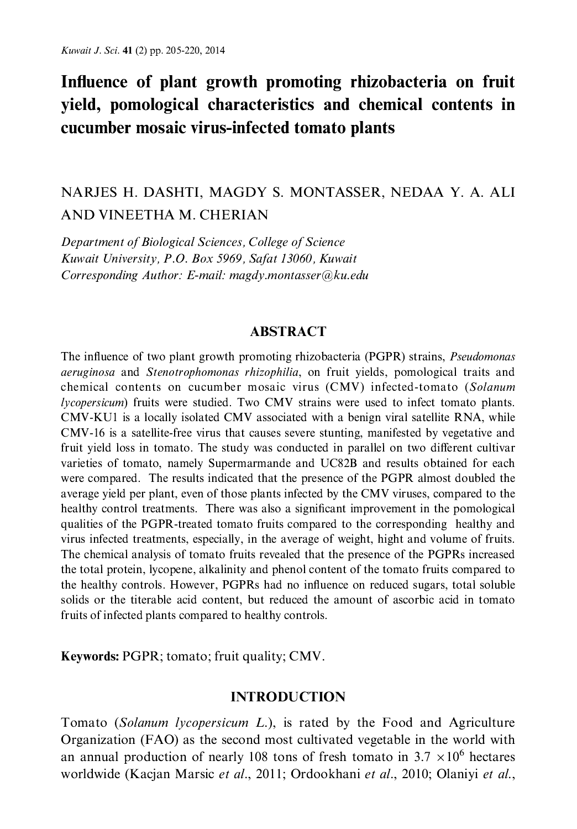# Influence of plant growth promoting rhizobacteria on fruit yield, pomological characteristics and chemical contents in cucumber mosaic virus-infected tomato plants

## NARJES H. DASHTI, MAGDY S. MONTASSER, NEDAA Y. A. ALI AND VINEETHA M. CHERIAN

Department of Biological Sciences, College of Science Kuwait University, P.O. Box 5969, Safat 13060, Kuwait Corresponding Author: E-mail: magdy.montasser@ku.edu

#### **ABSTRACT**

The influence of two plant growth promoting rhizobacteria (PGPR) strains, *Pseudomonas aeruginosa* and *Stenotrophomonas rhizophilia*, on fruit yields, pomological traits and chemical contents on cucumber mosaic virus (CMV) infected-tomato (Solanum lycopersicum) fruits were studied. Two CMV strains were used to infect tomato plants. CMV-KU1 is a locally isolated CMV associated with a benign viral satellite RNA, while CMV-16 is a satellite-free virus that causes severe stunting, manifested by vegetative and fruit yield loss in tomato. The study was conducted in parallel on two different cultivar varieties of tomato, namely Supermarmande and UC82B and results obtained for each were compared. The results indicated that the presence of the PGPR almost doubled the average yield per plant, even of those plants infected by the CMV viruses, compared to the healthy control treatments. There was also a significant improvement in the pomological qualities of the PGPR-treated tomato fruits compared to the corresponding healthy and virus infected treatments, especially, in the average of weight, hight and volume of fruits. The chemical analysis of tomato fruits revealed that the presence of the PGPRs increased the total protein, lycopene, alkalinity and phenol content of the tomato fruits compared to the healthy controls. However, PGPRs had no influence on reduced sugars, total soluble solids or the titerable acid content, but reduced the amount of ascorbic acid in tomato fruits of infected plants compared to healthy controls.

Keywords: PGPR; tomato; fruit quality; CMV.

#### **INTRODUCTION**

Tomato (Solanum lycopersicum L.), is rated by the Food and Agriculture Organization (FAO) as the second most cultivated vegetable in the world with an annual production of nearly 108 tons of fresh tomato in 3.7  $\times$ 10<sup>6</sup> hectares worldwide (Kacjan Marsic et al., 2011; Ordookhani et al., 2010; Olaniyi et al.,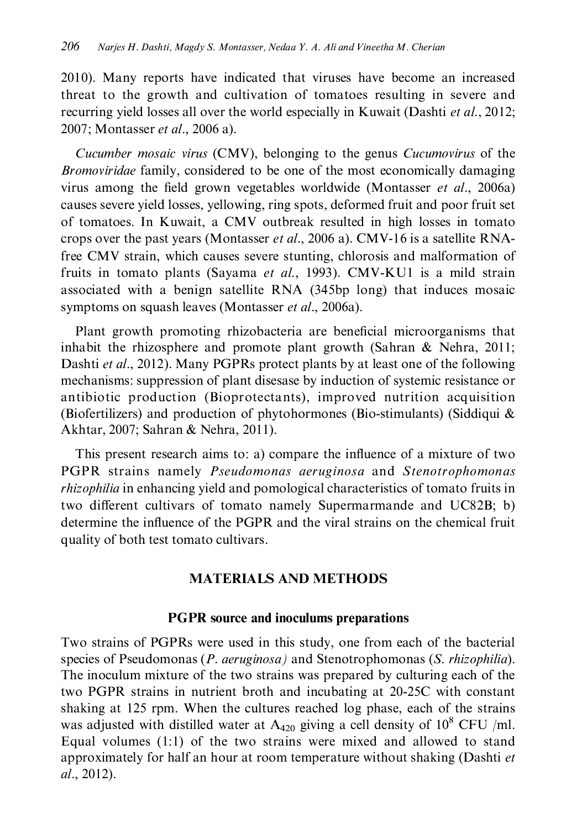2010). Many reports have indicated that viruses have become an increased threat to the growth and cultivation of tomatoes resulting in severe and recurring yield losses all over the world especially in Kuwait (Dashti et al., 2012; 2007; Montasser et al., 2006 a).

Cucumber mosaic virus (CMV), belonging to the genus Cucumovirus of the *Bromoviridae* family, considered to be one of the most economically damaging virus among the field grown vegetables worldwide (Montasser *et al.*, 2006a) causes severe yield losses, yellowing, ring spots, deformed fruit and poor fruit set of tomatoes. In Kuwait, a CMV outbreak resulted in high losses in tomato crops over the past years (Montasser *et al.*, 2006 a). CMV-16 is a satellite RNAfree CMV strain, which causes severe stunting, chlorosis and malformation of fruits in tomato plants (Sayama et al., 1993). CMV-KU1 is a mild strain associated with a benign satellite RNA (345bp long) that induces mosaic symptoms on squash leaves (Montasser et al., 2006a).

Plant growth promoting rhizobacteria are beneficial microorganisms that inhabit the rhizosphere and promote plant growth (Sahran & Nehra, 2011; Dashti et al., 2012). Many PGPRs protect plants by at least one of the following mechanisms: suppression of plant disesase by induction of systemic resistance or antibiotic production (Bioprotectants), improved nutrition acquisition (Biofertilizers) and production of phytohormones (Bio-stimulants) (Siddiqui  $\&$ Akhtar, 2007; Sahran & Nehra, 2011).

This present research aims to: a) compare the influence of a mixture of two PGPR strains namely *Pseudomonas aeruginosa* and *Stenotrophomonas rhizophilia* in enhancing yield and pomological characteristics of tomato fruits in two different cultivars of tomato namely Supermarmande and UC82B; b) determine the influence of the PGPR and the viral strains on the chemical fruit quality of both test tomato cultivars.

## **MATERIALS AND METHODS**

## **PGPR** source and inoculums preparations

Two strains of PGPRs were used in this study, one from each of the bacterial species of Pseudomonas (P. aeruginosa) and Stenotrophomonas (S. rhizophilia). The inoculum mixture of the two strains was prepared by culturing each of the two PGPR strains in nutrient broth and incubating at 20-25C with constant shaking at 125 rpm. When the cultures reached log phase, each of the strains was adjusted with distilled water at  $A_{420}$  giving a cell density of 10<sup>8</sup> CFU /ml. Equal volumes  $(1:1)$  of the two strains were mixed and allowed to stand approximately for half an hour at room temperature without shaking (Dashti et al., 2012).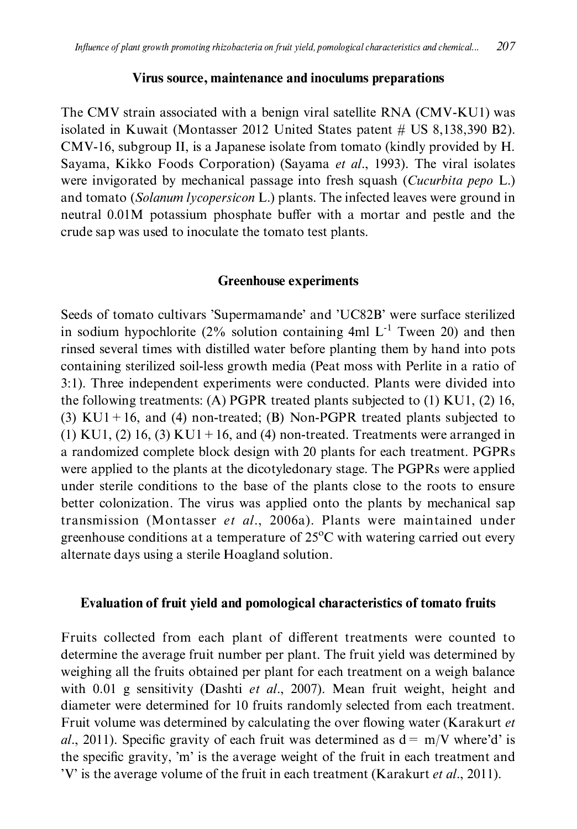#### Virus source, maintenance and inoculums preparations

The CMV strain associated with a benign viral satellite RNA (CMV-KU1) was isolated in Kuwait (Montasser 2012 United States patent  $#$  US 8,138,390 B2). CMV-16, subgroup II, is a Japanese isolate from tomato (kindly provided by H. Sayama, Kikko Foods Corporation) (Sayama et al., 1993). The viral isolates were invigorated by mechanical passage into fresh squash (Cucurbita pepo L.) and tomato (Solanum lycopersicon L.) plants. The infected leaves were ground in neutral 0.01M potassium phosphate buffer with a mortar and pestle and the crude sap was used to inoculate the tomato test plants.

#### **Greenhouse experiments**

Seeds of tomato cultivars 'Supermamande' and 'UC82B' were surface sterilized in sodium hypochlorite (2% solution containing 4ml  $L^{-1}$  Tween 20) and then rinsed several times with distilled water before planting them by hand into pots containing sterilized soil-less growth media (Peat moss with Perlite in a ratio of 3:1). Three independent experiments were conducted. Plants were divided into the following treatments: (A) PGPR treated plants subjected to  $(1)$  KU1,  $(2)$  16, (3) KU1 + 16, and (4) non-treated; (B) Non-PGPR treated plants subjected to  $(1)$  KU1,  $(2)$  16,  $(3)$  KU1 + 16, and  $(4)$  non-treated. Treatments were arranged in a randomized complete block design with 20 plants for each treatment. PGPRs were applied to the plants at the dicotyledonary stage. The PGPRs were applied under sterile conditions to the base of the plants close to the roots to ensure better colonization. The virus was applied onto the plants by mechanical sap transmission (Montasser et al., 2006a). Plants were maintained under greenhouse conditions at a temperature of  $25^{\circ}$ C with watering carried out every alternate days using a sterile Hoagland solution.

## Evaluation of fruit yield and pomological characteristics of tomato fruits

Fruits collected from each plant of different treatments were counted to determine the average fruit number per plant. The fruit yield was determined by weighing all the fruits obtained per plant for each treatment on a weigh balance with 0.01 g sensitivity (Dashti et al., 2007). Mean fruit weight, height and diameter were determined for 10 fruits randomly selected from each treatment. Fruit volume was determined by calculating the over flowing water (Karakurt et al., 2011). Specific gravity of each fruit was determined as  $d = m/V$  where'd' is the specific gravity, 'm' is the average weight of the fruit in each treatment and 'V' is the average volume of the fruit in each treatment (Karakurt et al., 2011).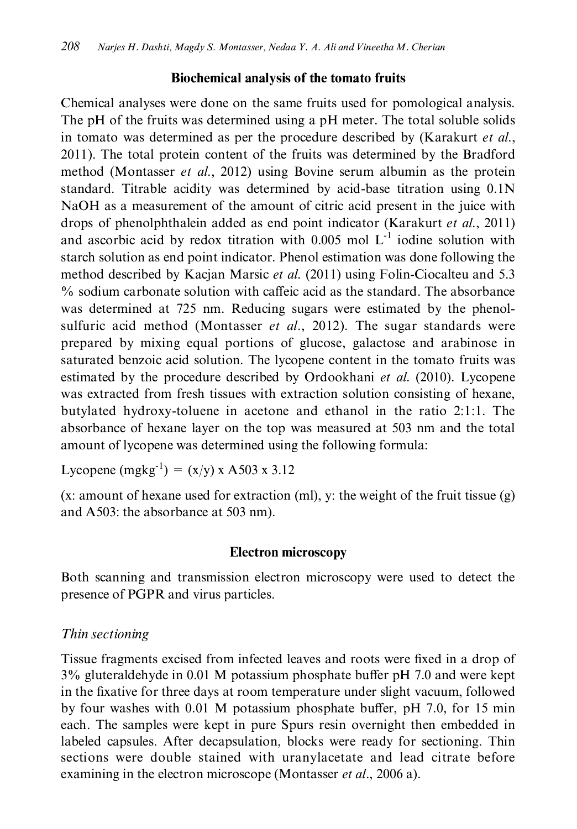## Biochemical analysis of the tomato fruits

Chemical analyses were done on the same fruits used for pomological analysis. The pH of the fruits was determined using a pH meter. The total soluble solids in tomato was determined as per the procedure described by (Karakurt et al., 2011). The total protein content of the fruits was determined by the Bradford method (Montasser et al., 2012) using Bovine serum albumin as the protein standard. Titrable acidity was determined by acid-base titration using 0.1N NaOH as a measurement of the amount of citric acid present in the juice with drops of phenolphthalein added as end point indicator (Karakurt et al., 2011) and ascorbic acid by redox titration with 0.005 mol  $L^{-1}$  iodine solution with starch solution as end point indicator. Phenol estimation was done following the method described by Kacjan Marsic et al. (2011) using Folin-Ciocalteu and 5.3 % sodium carbonate solution with caffeic acid as the standard. The absorbance was determined at 725 nm. Reducing sugars were estimated by the phenolsulfuric acid method (Montasser et al., 2012). The sugar standards were prepared by mixing equal portions of glucose, galactose and arabinose in saturated benzoic acid solution. The lycopene content in the tomato fruits was estimated by the procedure described by Ordookhani et al. (2010). Lycopene was extracted from fresh tissues with extraction solution consisting of hexane, butylated hydroxy-toluene in acetone and ethanol in the ratio 2:1:1. The absorbance of hexane layer on the top was measured at 503 nm and the total amount of lycopene was determined using the following formula:

Lycopene  $(mgkg^{-1}) = (x/y) x A503 x 3.12$ 

 $(x)$ : amount of hexane used for extraction (ml), y: the weight of the fruit tissue  $(g)$ and A503: the absorbance at 503 nm).

## **Electron microscopy**

Both scanning and transmission electron microscopy were used to detect the presence of PGPR and virus particles.

## Thin sectioning

Tissue fragments excised from infected leaves and roots were fixed in a drop of 3% gluteraldehyde in 0.01 M potassium phosphate buffer pH 7.0 and were kept in the fixative for three days at room temperature under slight vacuum, followed by four washes with 0.01 M potassium phosphate buffer, pH 7.0, for 15 min each. The samples were kept in pure Spurs resin overnight then embedded in labeled capsules. After decapsulation, blocks were ready for sectioning. Thin sections were double stained with uranylacetate and lead citrate before examining in the electron microscope (Montasser et al., 2006 a).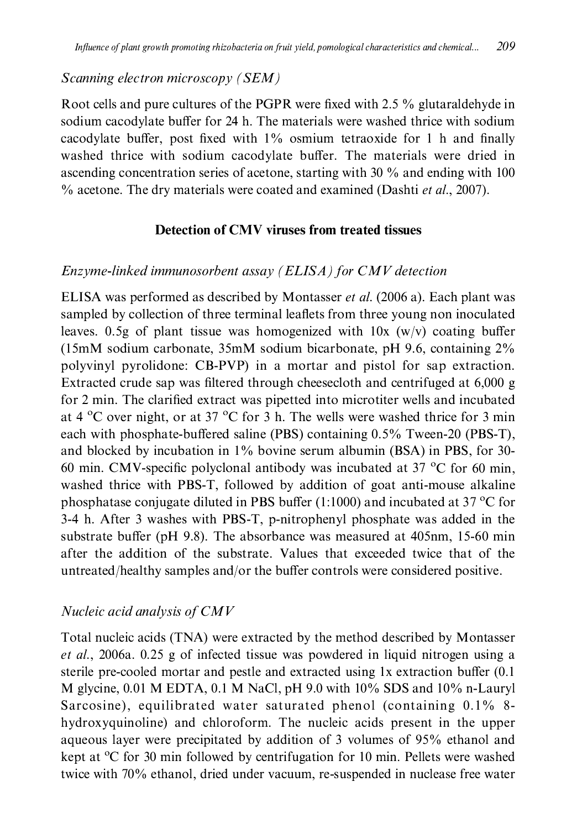## Scanning electron microscopy (SEM)

Root cells and pure cultures of the PGPR were fixed with 2.5 % glutaraldehyde in sodium cacodylate buffer for 24 h. The materials were washed thrice with sodium cacodylate buffer, post fixed with 1% osmium tetraoxide for 1 h and finally washed thrice with sodium cacodylate buffer. The materials were dried in ascending concentration series of acetone, starting with 30  $\%$  and ending with 100  $\%$  acetone. The dry materials were coated and examined (Dashti et al., 2007).

## **Detection of CMV viruses from treated tissues**

## Enzyme-linked immunosorbent assay (ELISA) for CMV detection

ELISA was performed as described by Montasser et al. (2006 a). Each plant was sampled by collection of three terminal leaflets from three young non inoculated leaves. 0.5g of plant tissue was homogenized with  $10x$  (w/v) coating buffer  $(15 \text{mM}$  sodium carbonate,  $35 \text{mM}$  sodium bicarbonate, pH 9.6, containing  $2\%$ polyvinyl pyrolidone: CB-PVP) in a mortar and pistol for sap extraction. Extracted crude sap was filtered through cheesecloth and centrifuged at 6,000 g for 2 min. The clarified extract was pipetted into microtiter wells and incubated at 4  $^{\circ}$ C over night, or at 37  $^{\circ}$ C for 3 h. The wells were washed thrice for 3 min each with phosphate-buffered saline (PBS) containing 0.5% Tween-20 (PBS-T), and blocked by incubation in 1% bovine serum albumin (BSA) in PBS, for 30-60 min. CMV-specific polyclonal antibody was incubated at 37  $^{\circ}$ C for 60 min, washed thrice with PBS-T, followed by addition of goat anti-mouse alkaline phosphatase conjugate diluted in PBS buffer  $(1:1000)$  and incubated at 37 °C for 3-4 h. After 3 washes with PBS-T, p-nitrophenyl phosphate was added in the substrate buffer (pH 9.8). The absorbance was measured at 405nm, 15-60 min after the addition of the substrate. Values that exceeded twice that of the untreated/healthy samples and/or the buffer controls were considered positive.

## Nucleic acid analysis of CMV

Total nucleic acids (TNA) were extracted by the method described by Montasser et al., 2006a. 0.25 g of infected tissue was powdered in liquid nitrogen using a sterile pre-cooled mortar and pestle and extracted using 1x extraction buffer (0.1) M glycine,  $0.01$  M EDTA,  $0.1$  M NaCl, pH 9.0 with  $10\%$  SDS and  $10\%$  n-Lauryl Sarcosine), equilibrated water saturated phenol (containing 0.1% 8hydroxyquinoline) and chloroform. The nucleic acids present in the upper aqueous layer were precipitated by addition of 3 volumes of 95% ethanol and kept at <sup>o</sup>C for 30 min followed by centrifugation for 10 min. Pellets were washed twice with 70% ethanol, dried under vacuum, re-suspended in nuclease free water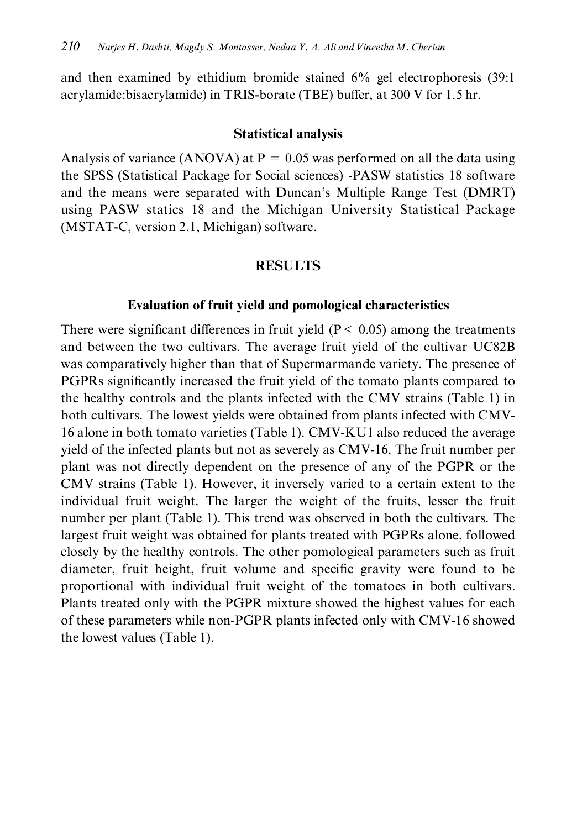and then examined by ethidium bromide stained  $6\%$  gel electrophoresis (39:1) acrylamide:bisacrylamide) in TRIS-borate (TBE) buffer, at 300 V for 1.5 hr.

#### **Statistical analysis**

Analysis of variance (ANOVA) at  $P = 0.05$  was performed on all the data using the SPSS (Statistical Package for Social sciences) -PASW statistics 18 software and the means were separated with Duncan's Multiple Range Test (DMRT) using PASW statics 18 and the Michigan University Statistical Package (MSTAT-C, version 2.1, Michigan) software.

## **RESULTS**

#### **Evaluation of fruit vield and pomological characteristics**

There were significant differences in fruit yield ( $P < 0.05$ ) among the treatments and between the two cultivars. The average fruit yield of the cultivar UC82B was comparatively higher than that of Supermarmande variety. The presence of PGPRs significantly increased the fruit yield of the tomato plants compared to the healthy controls and the plants infected with the CMV strains (Table 1) in both cultivars. The lowest yields were obtained from plants infected with CMV-16 alone in both tomato varieties (Table 1). CMV-KU1 also reduced the average yield of the infected plants but not as severely as CMV-16. The fruit number per plant was not directly dependent on the presence of any of the PGPR or the CMV strains (Table 1). However, it inversely varied to a certain extent to the individual fruit weight. The larger the weight of the fruits, lesser the fruit number per plant (Table 1). This trend was observed in both the cultivars. The largest fruit weight was obtained for plants treated with PGPRs alone, followed closely by the healthy controls. The other pomological parameters such as fruit diameter, fruit height, fruit volume and specific gravity were found to be proportional with individual fruit weight of the tomatoes in both cultivars. Plants treated only with the PGPR mixture showed the highest values for each of these parameters while non-PGPR plants infected only with CMV-16 showed the lowest values (Table 1).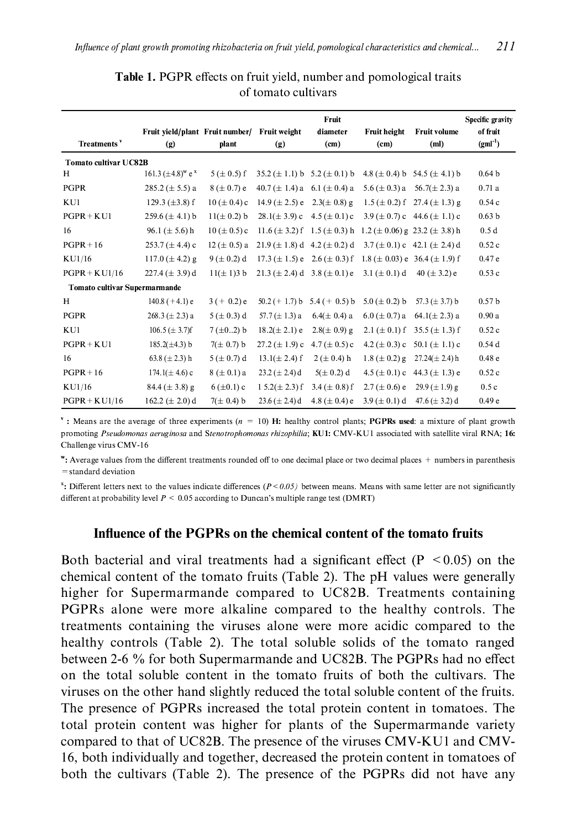| Treatments <sup>y</sup>       | Fruit vield/plant Fruit number/<br>(g) | plant            | Fruit weight<br>(g)                          | Fruit<br>diameter<br>(c <sub>m</sub> ) | <b>Fruit height</b><br>(c <sub>m</sub> )                                       | <b>Fruit volume</b><br>(ml)             | <b>Specific gravity</b><br>of fruit<br>$(gml^{-1})$ |
|-------------------------------|----------------------------------------|------------------|----------------------------------------------|----------------------------------------|--------------------------------------------------------------------------------|-----------------------------------------|-----------------------------------------------------|
| <b>Tomato cultivar UC82B</b>  |                                        |                  |                                              |                                        |                                                                                |                                         |                                                     |
| H                             | 161.3 $(\pm 4.8)^{w}$ e <sup>x</sup>   | $5 (\pm 0.5) f$  | $35.2 (\pm 1.1) b \quad 5.2 (\pm 0.1) b$     |                                        |                                                                                | 4.8 ( $\pm$ 0.4) b 54.5 ( $\pm$ 4.1) b  | 0.64 <sub>b</sub>                                   |
| PGPR                          | $285.2 (\pm 5.5) a$                    | $8 (\pm 0.7) e$  | $40.7 (\pm 1.4) a \quad 6.1 (\pm 0.4) a$     |                                        |                                                                                | 5.6 ( $\pm$ 0.3) a 56.7( $\pm$ 2.3) a   | 0.71a                                               |
| KU1                           | 129.3 $(\pm 3.8)$ f                    | $10 (\pm 0.4) c$ | $14.9 \ (\pm 2.5)$ e $2.3 (\pm 0.8)$ g       |                                        |                                                                                | $1.5 (\pm 0.2)$ f 27.4 ( $\pm 1.3$ ) g  | 0.54c                                               |
| $PGPR + KUI$                  | 259.6 $(\pm 4.1)$ b                    | $11(\pm 0.2)$ b  | $28.1(\pm 3.9)$ c                            | 4.5 ( $\pm$ 0.1) c                     |                                                                                | 3.9 ( $\pm$ 0.7) c 44.6 ( $\pm$ 1.1) c  | 0.63 <sub>b</sub>                                   |
| 16                            | 96.1 ( $\pm$ 5.6) h                    | $10 (\pm 0.5) c$ | $11.6 (\pm 3.2)$ f $1.5 (\pm 0.3)$ h         |                                        |                                                                                | $1.2 (\pm 0.06)$ g 23.2 ( $\pm 3.8$ ) h | 0.5d                                                |
| $PGPR + 16$                   | 253.7 ( $\pm$ 4.4) c                   | $12 (\pm 0.5) a$ | $21.9 \ (\pm 1.8) \ d - 4.2 \ (\pm 0.2) \ d$ |                                        |                                                                                | 3.7 ( $\pm$ 0.1) c 42.1 ( $\pm$ 2.4) d  | 0.52c                                               |
| KU1/16                        | 117.0 ( $\pm$ 4.2) g                   | $9 (\pm 0.2) d$  |                                              |                                        | 17.3 ( $\pm$ 1.5) e 2.6 ( $\pm$ 0.3) f 1.8 ( $\pm$ 0.03) e 36.4 ( $\pm$ 1.9) f |                                         | 0.47e                                               |
| $PGPR + KU1/16$               | 227.4 ( $\pm$ 3.9) d                   | $11(\pm 1)3$ b   | $21.3 \ (\pm 2.4) \ d - 3.8 \ (\pm 0.1) \ e$ |                                        | 3.1 ( $\pm$ 0.1) d                                                             | 40 ( $\pm$ 3.2) e                       | 0.53c                                               |
| Tomato cultivar Supermarmande |                                        |                  |                                              |                                        |                                                                                |                                         |                                                     |
| H                             | $140.8 (+4.1) e$                       | $3 (+ 0.2) e$    | $50.2 (+ 1.7) b$                             | 5.4 ( $+$ 0.5) b                       | 5.0 ( $\pm$ 0.2) b                                                             | 57.3 ( $\pm$ 3.7) b                     | 0.57 <sub>b</sub>                                   |
| PGPR                          | $268.3 (\pm 2.3) a$                    | $5 (\pm 0.3) d$  | 57.7 $(\pm 1.3)$ a                           | $6.4(\pm 0.4)$ a                       | $6.0 \ (\pm 0.7) a$                                                            | $64.1(\pm 2.3)$ a                       | 0.90a                                               |
| KU1                           | 106.5 ( $\pm$ 3.7)f                    | $7(\pm 0.2)$ b   | $18.2(\pm 2.1)$ e                            | $2.8(\pm 0.9)$ g                       | 2.1 ( $\pm$ 0.1) f                                                             | 35.5 $(\pm 1.3)$ f                      | 0.52c                                               |
| $PGPR + KUI$                  | $185.2(\pm 4.3)$ b                     | $7(\pm 0.7) b$   | $27.2 (\pm 1.9)$ c                           | 4.7 ( $\pm$ 0.5) c                     | 4.2 ( $\pm$ 0.3) c                                                             | 50.1 $(\pm 1.1)$ c                      | 0.54d                                               |
| 16                            | 63.8 ( $\pm$ 2.3) h                    | $5 (\pm 0.7) d$  | $13.1(\pm 2.4)$ f                            | $2 (\pm 0.4)$ h                        | $1.8 (\pm 0.2)$ g                                                              | $27.24(\pm 2.4)$ h                      | 0.48 <sub>e</sub>                                   |
| $PGPR + 16$                   | $174.1(\pm 4.6)$ c                     | $8 (\pm 0.1) a$  | 23.2 ( $\pm$ 2.4) d                          | $5(\pm 0.2)$ d                         | $4.5 (\pm 0.1) c$                                                              | 44.3 $(\pm 1.3)$ e                      | 0.52c                                               |
| KU1/16                        | $84.4 (\pm 3.8)$ g                     | $6 (\pm 0.1) c$  | $15.2(\pm 2.3)$ f                            | 3.4 ( $\pm$ 0.8) f                     | $2.7 (\pm 0.6) e$                                                              | $29.9 (\pm 1.9)$ g                      | 0.5c                                                |
| $PGPR + KU1/16$               | 162.2 ( $\pm$ 2.0) d                   | $7(\pm 0.4)$ b   | 23.6 ( $\pm$ 2.4) d                          | 4.8 ( $\pm$ 0.4) e                     |                                                                                | 3.9 ( $\pm$ 0.1) d 47.6 ( $\pm$ 3.2) d  | 0.49e                                               |

Table 1. PGPR effects on fruit yield, number and pomological traits of tomato cultivars

<sup>v</sup>: Means are the average of three experiments  $(n = 10)$  H: healthy control plants; **PGPRs used**: a mixture of plant growth promoting Pseudomonas aeruginosa and Stenotrophomonas rhizophilia; KU1: CMV-KU1 associated with satellite viral RNA; 16: Challenge virus CMV-16

": Average values from the different treatments rounded off to one decimal place or two decimal places + numbers in parenthesis = standard deviation

 $x$ . Different letters next to the values indicate differences ( $P < 0.05$ ) between means. Means with same letter are not significantly different at probability level  $P \le 0.05$  according to Duncan's multiple range test (DMRT)

#### Influence of the PGPRs on the chemical content of the tomato fruits

Both bacterial and viral treatments had a significant effect ( $P < 0.05$ ) on the chemical content of the tomato fruits (Table 2). The pH values were generally higher for Supermarmande compared to UC82B. Treatments containing PGPRs alone were more alkaline compared to the healthy controls. The treatments containing the viruses alone were more acidic compared to the healthy controls (Table 2). The total soluble solids of the tomato ranged between 2-6 % for both Supermarmande and UC82B. The PGPRs had no effect on the total soluble content in the tomato fruits of both the cultivars. The viruses on the other hand slightly reduced the total soluble content of the fruits. The presence of PGPRs increased the total protein content in tomatoes. The total protein content was higher for plants of the Supermarmande variety compared to that of UC82B. The presence of the viruses CMV-KU1 and CMV-16, both individually and together, decreased the protein content in tomatoes of both the cultivars (Table 2). The presence of the PGPRs did not have any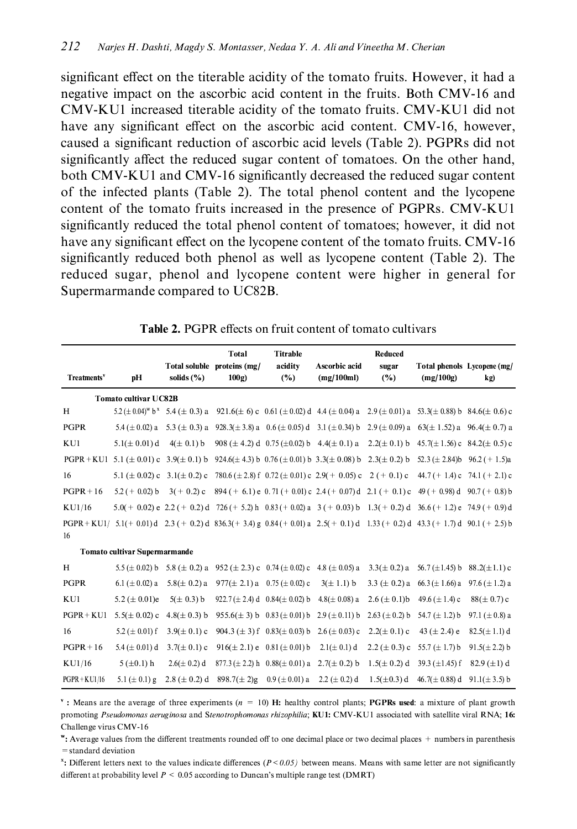significant effect on the titerable acidity of the tomato fruits. However, it had a negative impact on the ascorbic acid content in the fruits. Both CMV-16 and CMV-KU1 increased titerable acidity of the tomato fruits. CMV-KU1 did not have any significant effect on the ascorbic acid content. CMV-16, however, caused a significant reduction of ascorbic acid levels (Table 2). PGPRs did not significantly affect the reduced sugar content of tomatoes. On the other hand, both CMV-KU1 and CMV-16 significantly decreased the reduced sugar content of the infected plants (Table 2). The total phenol content and the lycopene content of the tomato fruits increased in the presence of PGPRs. CMV-KU1 significantly reduced the total phenol content of tomatoes; however, it did not have any significant effect on the lycopene content of the tomato fruits. CMV-16 significantly reduced both phenol as well as lycopene content (Table 2). The reduced sugar, phenol and lycopene content were higher in general for Supermarmande compared to UC82B.

| Treatments <sup>v</sup>              | pH                                    | solids $(\% )$                                                                                     | <b>Total</b><br>Total soluble proteins (mg/<br>100g | <b>Titrable</b><br>acidity<br>(%)                           | Ascorbic acid<br>(mg/100ml)                                                                                                                                      | Reduced<br>sugar<br>$(\%)$ | Total phenols Lycopene (mg/<br>(mg/100g)                    | kg)                 |
|--------------------------------------|---------------------------------------|----------------------------------------------------------------------------------------------------|-----------------------------------------------------|-------------------------------------------------------------|------------------------------------------------------------------------------------------------------------------------------------------------------------------|----------------------------|-------------------------------------------------------------|---------------------|
|                                      | <b>Tomato cultivar UC82B</b>          |                                                                                                    |                                                     |                                                             |                                                                                                                                                                  |                            |                                                             |                     |
| H                                    |                                       |                                                                                                    |                                                     |                                                             | $5.2 \ (\pm 0.04)^{w} b^{x}$ $5.4 \ (\pm 0.3) a$ $921.6(\pm 6) c$ $0.61 (\pm 0.02) d$ $4.4 (\pm 0.04) a$ $2.9 (\pm 0.01) a$ $53.3(\pm 0.88) b$ $84.6(\pm 0.6) c$ |                            |                                                             |                     |
| PGPR                                 |                                       |                                                                                                    |                                                     |                                                             | 5.4 ( $\pm$ 0.02) a 5.3 ( $\pm$ 0.3) a 928.3( $\pm$ 3.8) a 0.6 ( $\pm$ 0.05) d 3.1 ( $\pm$ 0.34) b 2.9 ( $\pm$ 0.09) a 63( $\pm$ 1.52) a 96.4( $\pm$ 0.7) a      |                            |                                                             |                     |
| KU1                                  | $5.1 (\pm 0.01)$ d                    | $4(\pm 0.1) b$                                                                                     |                                                     |                                                             | 908 ( $\pm$ 4.2) d 0.75 ( $\pm$ 0.02) b 4.4( $\pm$ 0.1) a 2.2( $\pm$ 0.1) b                                                                                      |                            | $45.7(\pm 1.56)$ c $84.2(\pm 0.5)$ c                        |                     |
|                                      |                                       |                                                                                                    |                                                     |                                                             | PGPR+KU1 5.1 ( $\pm$ 0.01) c 3.9( $\pm$ 0.1) b 924.6( $\pm$ 4.3) b 0.76 ( $\pm$ 0.01) b 3.3( $\pm$ 0.08) b 2.3( $\pm$ 0.2) b 52.3( $\pm$ 2.84) b 96.2(+ 1.5)a    |                            |                                                             |                     |
| 16                                   | 5.1 ( $\pm$ 0.02) c 3.1( $\pm$ 0.2) c |                                                                                                    |                                                     |                                                             | 780.6 ( $\pm$ 2.8) f 0.72 ( $\pm$ 0.01) c 2.9( $+$ 0.05) c 2 ( $+$ 0.1) c                                                                                        |                            | $44.7 (+ 1.4) c$ 74.1 ( + 2.1) c                            |                     |
| $PGPR + 16$                          | $5.2 (+ 0.02) b$                      | $3(+0.2)$ c                                                                                        |                                                     |                                                             | $894 (+ 6.1)$ e 0.71 (+ 0.01) c 2.4 (+ 0.07) d 2.1 (+ 0.1) c 49 (+ 0.98) d 90.7 (+ 0.8) b                                                                        |                            |                                                             |                     |
| KU1/16                               |                                       |                                                                                                    |                                                     |                                                             | $5.0(+0.02)$ e $2.2(+0.2)$ d $726(+5.2)$ h $0.83(+0.02)$ a $3(+0.03)$ b $1.3(+0.2)$ d $36.6(+1.2)$ e $74.9(+0.9)$ d                                              |                            |                                                             |                     |
| $PGPR + KUI/$<br>16                  |                                       |                                                                                                    |                                                     |                                                             | 5.1(+ 0.01) d 2.3 (+ 0.2) d 836.3(+ 3.4) g 0.84(+ 0.01) a 2.5(+ 0.1) d 1.33 (+ 0.2) d 43.3 (+ 1.7) d 90.1 (+ 2.5) b                                              |                            |                                                             |                     |
| <b>Tomato cultivar Supermarmande</b> |                                       |                                                                                                    |                                                     |                                                             |                                                                                                                                                                  |                            |                                                             |                     |
| H                                    |                                       | 5.5 ( $\pm$ 0.02) b 5.8 ( $\pm$ 0.2) a 952 ( $\pm$ 2.3) c 0.74 ( $\pm$ 0.02) c 4.8 ( $\pm$ 0.05) a |                                                     |                                                             |                                                                                                                                                                  |                            | $3.3(\pm 0.2)$ a 56.7 ( $\pm$ 1.45) b 88.2( $\pm$ 1.1) c    |                     |
| PGPR                                 | 6.1 ( $\pm$ 0.02) a                   | $5.8(\pm 0.2)$ a                                                                                   |                                                     | $977(\pm 2.1)$ a 0.75 ( $\pm$ 0.02) c                       | $3(\pm 1.1)$ b                                                                                                                                                   |                            | 3.3 ( $\pm$ 0.2) a 66.3 ( $\pm$ 1.66) a 97.6 ( $\pm$ 1.2) a |                     |
| KU1                                  | 5.2 ( $\pm$ 0.01)e                    | $5(\pm 0.3)$ b                                                                                     |                                                     | 922.7 ( $\pm$ 2.4) d 0.84( $\pm$ 0.02) b 4.8( $\pm$ 0.08) a |                                                                                                                                                                  | $2.6 (\pm 0.1) b$          | 49.6 ( $\pm$ 1.4) c                                         | $88 (\pm 0.7) c$    |
| $PGPR + KU1$                         | $5.5(\pm 0.02)$ c                     | $4.8(\pm 0.3)$ b                                                                                   |                                                     | 955.6( $\pm$ 3) b 0.83( $\pm$ 0.01) b 2.9( $\pm$ 0.11) b    |                                                                                                                                                                  | $2.63 \ (\pm 0.2) b$       | 54.7 $(\pm 1.2)$ b                                          | 97.1 ( $\pm$ 0.8) a |
| 16                                   | 5.2 ( $\pm$ 0.01) f                   | $3.9 (\pm 0.1) c$                                                                                  |                                                     | 904.3 ( $\pm$ 3) f 0.83( $\pm$ 0.03) b 2.6 ( $\pm$ 0.03) c  |                                                                                                                                                                  | $2.2(\pm 0.1)$ c           | 43 $(\pm 2.4)$ e                                            | $82.5(\pm 1.1)$ d   |
| $PGPR + 16$                          | 5.4 ( $\pm$ 0.01) d                   | $3.7(\pm 0.1)$ c                                                                                   |                                                     | $916(\pm 2.1)$ e 0.81 ( $\pm$ 0.01) b                       | $2.1(\pm 0.1)$ d                                                                                                                                                 | $2.2 (\pm 0.3) c$          | 55.7 $(\pm 1.7)$ b                                          | $91.5(\pm 2.2)$ b   |
| KU1/16                               | $5 (\pm 0.1)$ h                       | $2.6(\pm 0.2)$ d                                                                                   |                                                     | $877.3 (\pm 2.2)$ h $0.88 (\pm 0.01)$ a $2.7 (\pm 0.2)$ b   |                                                                                                                                                                  | $1.5(\pm 0.2)$ d           | 39.3 $(\pm 1.45)$ f                                         | 82.9 $(\pm 1)$ d    |
| $PGPR + KU1/16$                      | 5.1 ( $\pm$ 0.1) g                    | $2.8 (\pm 0.2) d$                                                                                  | $898.7(\pm 2)g$                                     | $0.9 \ (\pm 0.01)$ a 2.2 ( $\pm 0.2$ ) d                    |                                                                                                                                                                  | $1.5(\pm 0.3)$ d           | 46.7( $\pm$ 0.88) d                                         | $91.1(\pm 3.5)$ b   |

| <b>Table 2. PGPR</b> effects on fruit content of tomato cultivars |  |
|-------------------------------------------------------------------|--|
|-------------------------------------------------------------------|--|

<sup>v</sup>: Means are the average of three experiments  $(n = 10)$  H: healthy control plants; **PGPRs used**: a mixture of plant growth promoting Pseudomonas aeruginosa and Stenotrophomonas rhizophilia; KU1: CMV-KU1 associated with satellite viral RNA; 16: Challenge virus CMV-16

": Average values from the different treatments rounded off to one decimal place or two decimal places + numbers in parenthesis = standard deviation

<sup>x</sup>: Different letters next to the values indicate differences  $(P < 0.05)$  between means. Means with same letter are not significantly different at probability level  $P < 0.05$  according to Duncan's multiple range test (DMRT)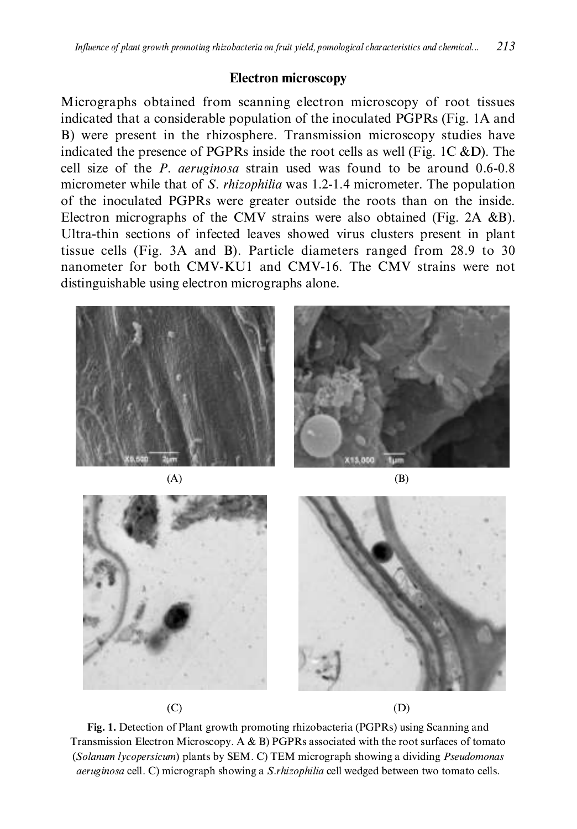## **Electron microscopy**

Micrographs obtained from scanning electron microscopy of root tissues indicated that a considerable population of the inoculated PGPRs (Fig. 1A and B) were present in the rhizosphere. Transmission microscopy studies have indicated the presence of PGPRs inside the root cells as well (Fig. 1C &D). The cell size of the P. aeruginosa strain used was found to be around 0.6-0.8 micrometer while that of S. *rhizophilia* was 1.2-1.4 micrometer. The population of the inoculated PGPRs were greater outside the roots than on the inside. Electron micrographs of the CMV strains were also obtained (Fig.  $2A \& B$ ). Ultra-thin sections of infected leaves showed virus clusters present in plant tissue cells (Fig. 3A and B). Particle diameters ranged from 28.9 to 30 nanometer for both CMV-KU1 and CMV-16. The CMV strains were not distinguishable using electron micrographs alone.





Fig. 1. Detection of Plant growth promoting rhizobacteria (PGPRs) using Scanning and Transmission Electron Microscopy. A & B) PGPRs associated with the root surfaces of tomato (Solanum lycopersicum) plants by SEM. C) TEM micrograph showing a dividing Pseudomonas *aeruginosa* cell. C) micrograph showing a *S.rhizophilia* cell wedged between two tomato cells.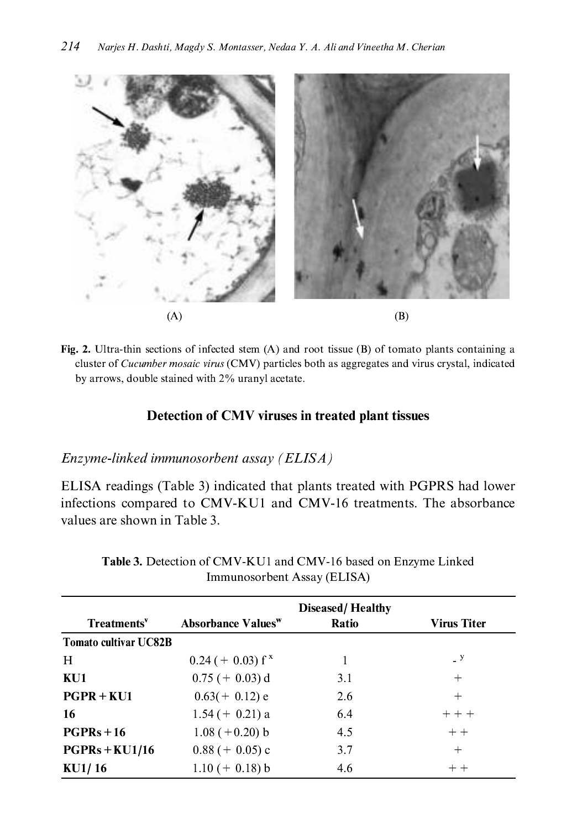

Fig. 2. Ultra-thin sections of infected stem  $(A)$  and root tissue  $(B)$  of tomato plants containing a cluster of *Cucumber mosaic virus* (CMV) particles both as aggregates and virus crystal, indicated by arrows, double stained with 2% uranyl acetate.

## Detection of CMV viruses in treated plant tissues

## Enzyme-linked immunosorbent assay (ELISA)

ELISA readings (Table 3) indicated that plants treated with PGPRS had lower infections compared to CMV-KU1 and CMV-16 treatments. The absorbance values are shown in Table 3.

|                              | <b>Diseased/Healthy</b>        |              |                            |  |  |
|------------------------------|--------------------------------|--------------|----------------------------|--|--|
| Treatments <sup>v</sup>      | Absorbance Values <sup>w</sup> | <b>Ratio</b> | <b>Virus Titer</b>         |  |  |
| <b>Tomato cultivar UC82B</b> |                                |              |                            |  |  |
| H                            | $0.24 (+ 0.03) f^x$            |              | $\overline{\phantom{0}}$ y |  |  |
| KU1                          | $0.75 (+ 0.03)$ d              | 3.1          | $^+$                       |  |  |
| $PGPR + KU1$                 | $0.63(+0.12)$ e                | 2.6          | $^{+}$                     |  |  |
| 16                           | $1.54 (+ 0.21) a$              | 6.4          | $++ + +$                   |  |  |
| $PGPRs + 16$                 | $1.08 (+0.20) b$               | 4.5          | $+ +$                      |  |  |
| $PGPRs + KU1/16$             | $0.88 (+ 0.05)$ c              | 3.7          | $^+$                       |  |  |
| KU1/16                       | $1.10 (+ 0.18) b$              | 4.6          | $+ +$                      |  |  |

Table 3. Detection of CMV-KU1 and CMV-16 based on Enzyme Linked Immunosorbent Assay (ELISA)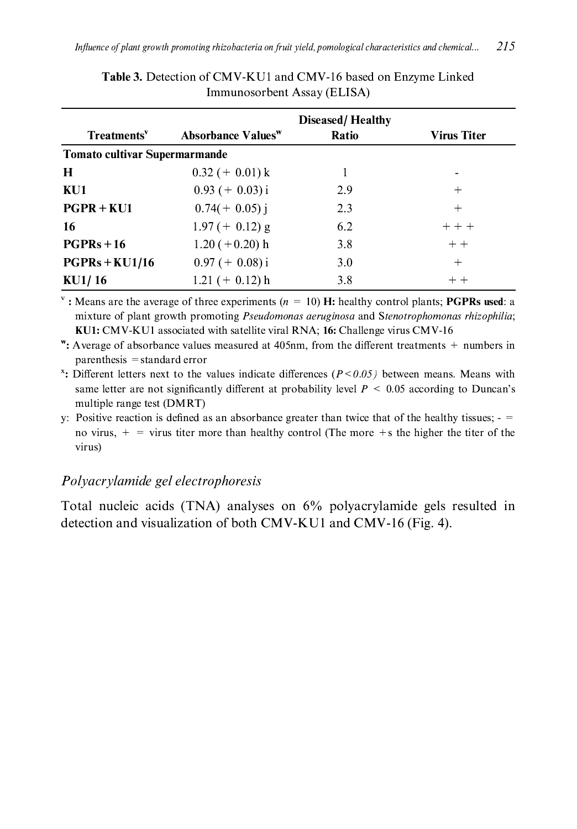|                                      |                                       | <b>Diseased/Healthy</b> |                    |  |  |
|--------------------------------------|---------------------------------------|-------------------------|--------------------|--|--|
| Treatments <sup>v</sup>              | <b>Absorbance Values</b> <sup>w</sup> | Ratio                   | <b>Virus Titer</b> |  |  |
| <b>Tomato cultivar Supermarmande</b> |                                       |                         |                    |  |  |
| H                                    | $0.32 (+ 0.01) k$                     |                         |                    |  |  |
| KU1                                  | $0.93 (+ 0.03) i$                     | 2.9                     | $\pm$              |  |  |
| $PGPR + KU1$                         | $0.74(+0.05)$ j                       | 2.3                     | $^+$               |  |  |
| 16                                   | $1.97 (+ 0.12)$ g                     | 6.2                     | $+ + +$            |  |  |
| $PGPRs + 16$                         | $1.20 (+0.20)$ h                      | 3.8                     | $+ +$              |  |  |
| $PGPRs + KU1/16$                     | $0.97 (+ 0.08)$ i                     | 3.0                     | $^{+}$             |  |  |
| KU1/16                               | $1.21 (+ 0.12) h$                     | 3.8                     | $++$               |  |  |

Table 3. Detection of CMV-KU1 and CMV-16 based on Enzyme Linked Immunosorbent Assay (ELISA)

<sup>v</sup>: Means are the average of three experiments ( $n = 10$ ) H: healthy control plants; **PGPRs used**: a mixture of plant growth promoting Pseudomonas aeruginosa and Stenotrophomonas rhizophilia; KU1: CMV-KU1 associated with satellite viral RNA; 16: Challenge virus CMV-16

": Average of absorbance values measured at 405nm, from the different treatments  $+$  numbers in  $parenthesis = standard error$ 

<sup>x</sup>: Different letters next to the values indicate differences ( $P < 0.05$ ) between means. Means with same letter are not significantly different at probability level  $P \le 0.05$  according to Duncan's multiple range test (DMRT)

y: Positive reaction is defined as an absorbance greater than twice that of the healthy tissues;  $$ no virus,  $+$  = virus titer more than healthy control (The more +s the higher the titer of the virus)

## Polyacrylamide gel electrophoresis

Total nucleic acids (TNA) analyses on 6% polyacrylamide gels resulted in detection and visualization of both CMV-KU1 and CMV-16 (Fig. 4).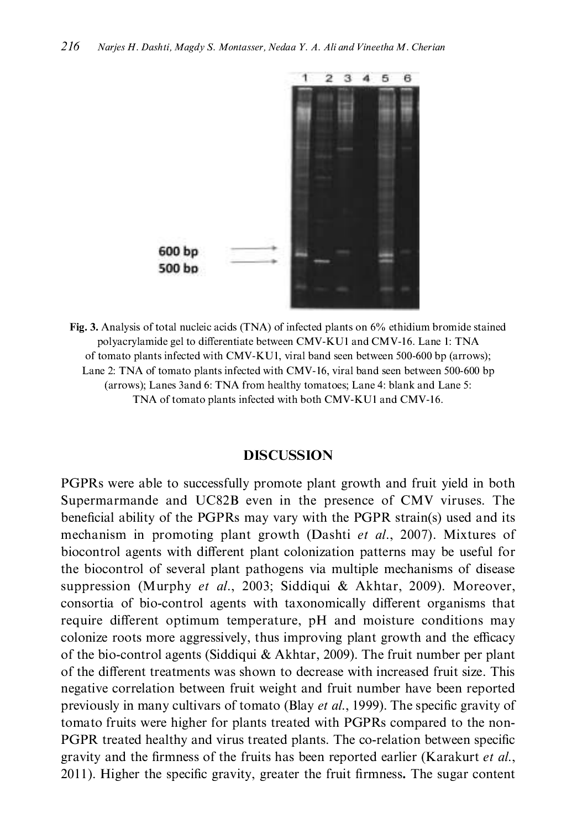

Fig. 3. Analysis of total nucleic acids (TNA) of infected plants on 6% ethidium bromide stained polyacrylamide gel to differentiate between CMV-KU1 and CMV-16. Lane 1: TNA of tomato plants infected with CMV-KU1, viral band seen between 500-600 bp (arrows); Lane 2: TNA of tomato plants infected with CMV-16, viral band seen between 500-600 bp (arrows); Lanes 3and 6: TNA from healthy tomatoes; Lane 4: blank and Lane 5: TNA of tomato plants infected with both CMV-KU1 and CMV-16.

#### **DISCUSSION**

PGPRs were able to successfully promote plant growth and fruit yield in both Supermarmande and UC82B even in the presence of CMV viruses. The beneficial ability of the PGPRs may vary with the PGPR strain(s) used and its mechanism in promoting plant growth (Dashti et al., 2007). Mixtures of biocontrol agents with different plant colonization patterns may be useful for the biocontrol of several plant pathogens via multiple mechanisms of disease suppression (Murphy et al., 2003; Siddiqui & Akhtar, 2009). Moreover, consortia of bio-control agents with taxonomically different organisms that require different optimum temperature, pH and moisture conditions may colonize roots more aggressively, thus improving plant growth and the efficacy of the bio-control agents (Siddiqui & Akhtar, 2009). The fruit number per plant of the different treatments was shown to decrease with increased fruit size. This negative correlation between fruit weight and fruit number have been reported previously in many cultivars of tomato (Blay *et al.*, 1999). The specific gravity of tomato fruits were higher for plants treated with PGPRs compared to the non-PGPR treated healthy and virus treated plants. The co-relation between specific gravity and the firmness of the fruits has been reported earlier (Karakurt et al., 2011). Higher the specific gravity, greater the fruit firmness. The sugar content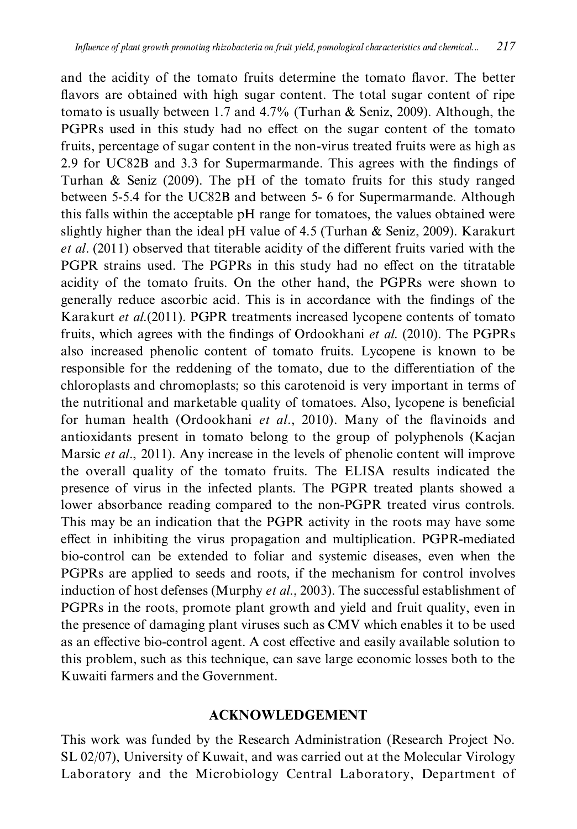and the acidity of the tomato fruits determine the tomato flavor. The better flavors are obtained with high sugar content. The total sugar content of ripe tomato is usually between 1.7 and 4.7% (Turhan & Seniz, 2009). Although, the PGPRs used in this study had no effect on the sugar content of the tomato fruits, percentage of sugar content in the non-virus treated fruits were as high as 2.9 for UC82B and 3.3 for Supermarmande. This agrees with the findings of Turhan & Seniz (2009). The pH of the tomato fruits for this study ranged between 5-5.4 for the UC82B and between 5- 6 for Supermarmande. Although this falls within the acceptable pH range for tomatoes, the values obtained were slightly higher than the ideal pH value of 4.5 (Turhan  $\&$  Seniz, 2009). Karakurt et al. (2011) observed that titerable acidity of the different fruits varied with the PGPR strains used. The PGPRs in this study had no effect on the titratable acidity of the tomato fruits. On the other hand, the PGPRs were shown to generally reduce ascorbic acid. This is in accordance with the findings of the Karakurt et al.(2011). PGPR treatments increased lycopene contents of tomato fruits, which agrees with the findings of Ordookhani et al. (2010). The PGPRs also increased phenolic content of tomato fruits. Lycopene is known to be responsible for the reddening of the tomato, due to the differentiation of the chloroplasts and chromoplasts; so this carotenoid is very important in terms of the nutritional and marketable quality of tomatoes. Also, lycopene is beneficial for human health (Ordookhani et al., 2010). Many of the flavinoids and antioxidants present in tomato belong to the group of polyphenols (Kacjan Marsic et al., 2011). Any increase in the levels of phenolic content will improve the overall quality of the tomato fruits. The ELISA results indicated the presence of virus in the infected plants. The PGPR treated plants showed a lower absorbance reading compared to the non-PGPR treated virus controls. This may be an indication that the PGPR activity in the roots may have some effect in inhibiting the virus propagation and multiplication. PGPR-mediated bio-control can be extended to foliar and systemic diseases, even when the PGPRs are applied to seeds and roots, if the mechanism for control involves induction of host defenses (Murphy et al., 2003). The successful establishment of PGPRs in the roots, promote plant growth and yield and fruit quality, even in the presence of damaging plant viruses such as CMV which enables it to be used as an effective bio-control agent. A cost effective and easily available solution to this problem, such as this technique, can save large economic losses both to the Kuwaiti farmers and the Government.

## **ACKNOWLEDGEMENT**

This work was funded by the Research Administration (Research Project No. SL 02/07), University of Kuwait, and was carried out at the Molecular Virology Laboratory and the Microbiology Central Laboratory, Department of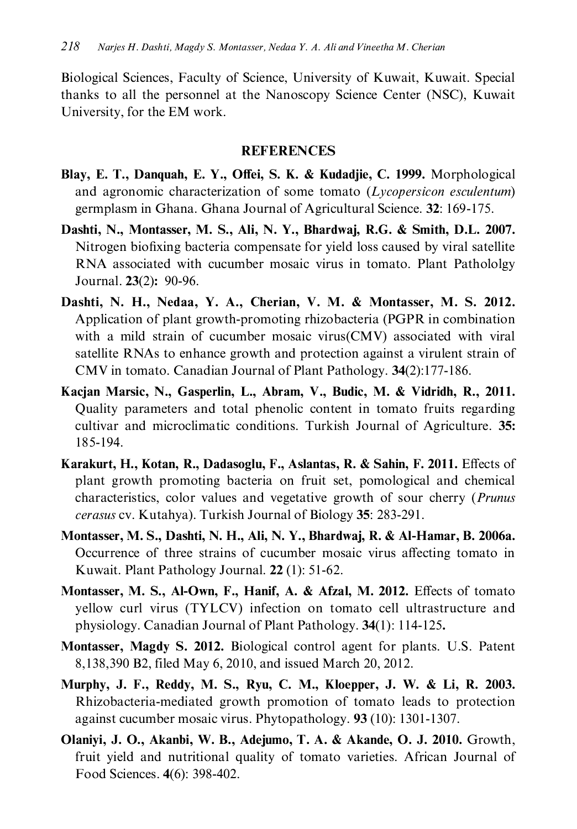Biological Sciences, Faculty of Science, University of Kuwait, Kuwait. Special thanks to all the personnel at the Nanoscopy Science Center (NSC), Kuwait University, for the EM work.

## **REFERENCES**

- Blay, E. T., Danquah, E. Y., Offei, S. K. & Kudadjie, C. 1999. Morphological and agronomic characterization of some tomato (Lycopersicon esculentum) germplasm in Ghana. Ghana Journal of Agricultural Science. 32: 169-175.
- Dashti, N., Montasser, M. S., Ali, N. Y., Bhardwaj, R.G. & Smith, D.L. 2007. Nitrogen biofixing bacteria compensate for yield loss caused by viral satellite RNA associated with cucumber mosaic virus in tomato. Plant Pathololgy Journal. 23(2): 90-96.
- Dashti, N. H., Nedaa, Y. A., Cherian, V. M. & Montasser, M. S. 2012. Application of plant growth-promoting rhizobacteria (PGPR in combination with a mild strain of cucumber mosaic virus (CMV) associated with viral satellite RNAs to enhance growth and protection against a virulent strain of CMV in tomato. Canadian Journal of Plant Pathology. 34(2):177-186.
- Kacjan Marsic, N., Gasperlin, L., Abram, V., Budic, M. & Vidridh, R., 2011. Quality parameters and total phenolic content in tomato fruits regarding cultivar and microclimatic conditions. Turkish Journal of Agriculture. 35: 185-194.
- Karakurt, H., Kotan, R., Dadasoglu, F., Aslantas, R. & Sahin, F. 2011. Effects of plant growth promoting bacteria on fruit set, pomological and chemical characteristics, color values and vegetative growth of sour cherry (*Prunus* cerasus cv. Kutahya). Turkish Journal of Biology 35: 283-291.
- Montasser, M. S., Dashti, N. H., Ali, N. Y., Bhardwaj, R. & Al-Hamar, B. 2006a. Occurrence of three strains of cucumber mosaic virus affecting tomato in Kuwait. Plant Pathology Journal. 22 (1): 51-62.
- Montasser, M. S., Al-Own, F., Hanif, A. & Afzal, M. 2012. Effects of tomato yellow curl virus (TYLCV) infection on tomato cell ultrastructure and physiology. Canadian Journal of Plant Pathology. 34(1): 114-125.
- Montasser, Magdy S. 2012. Biological control agent for plants. U.S. Patent 8,138,390 B2, filed May 6, 2010, and issued March 20, 2012.
- Murphy, J. F., Reddy, M. S., Ryu, C. M., Kloepper, J. W. & Li, R. 2003. Rhizobacteria-mediated growth promotion of tomato leads to protection against cucumber mosaic virus. Phytopathology. 93 (10): 1301-1307.
- Olaniyi, J. O., Akanbi, W. B., Adejumo, T. A. & Akande, O. J. 2010. Growth, fruit yield and nutritional quality of tomato varieties. African Journal of Food Sciences. 4(6): 398-402.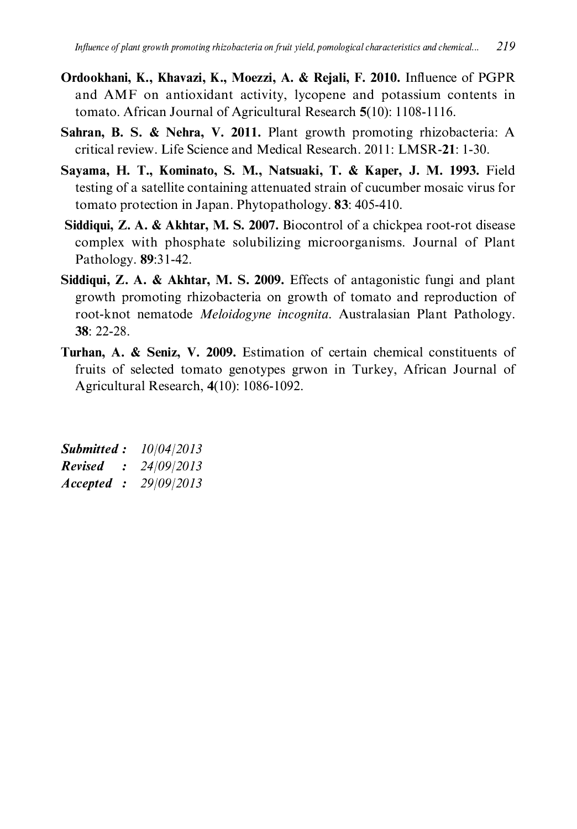- Ordookhani, K., Khavazi, K., Moezzi, A. & Rejali, F. 2010. Influence of PGPR and AMF on antioxidant activity, lycopene and potassium contents in tomato. African Journal of Agricultural Research 5(10): 1108-1116.
- Sahran, B. S. & Nehra, V. 2011. Plant growth promoting rhizobacteria: A critical review. Life Science and Medical Research. 2011: LMSR-21: 1-30.
- Savama, H. T., Kominato, S. M., Natsuaki, T. & Kaper, J. M. 1993. Field testing of a satellite containing attenuated strain of cucumber mosaic virus for tomato protection in Japan. Phytopathology. 83: 405-410.
- Siddiqui, Z. A. & Akhtar, M. S. 2007. Biocontrol of a chickpea root-rot disease complex with phosphate solubilizing microorganisms. Journal of Plant Pathology. 89:31-42.
- Siddiqui, Z. A. & Akhtar, M. S. 2009. Effects of antagonistic fungi and plant growth promoting rhizobacteria on growth of tomato and reproduction of root-knot nematode Meloidogyne incognita. Australasian Plant Pathology. 38: 22-28.
- Turhan, A. & Seniz, V. 2009. Estimation of certain chemical constituents of fruits of selected tomato genotypes grwon in Turkey, African Journal of Agricultural Research, 4(10): 1086-1092.

| Submitted:          | 10/04/2013 |
|---------------------|------------|
| <b>Revised</b><br>÷ | 24/09/2013 |
| Accepted :          | 29/09/2013 |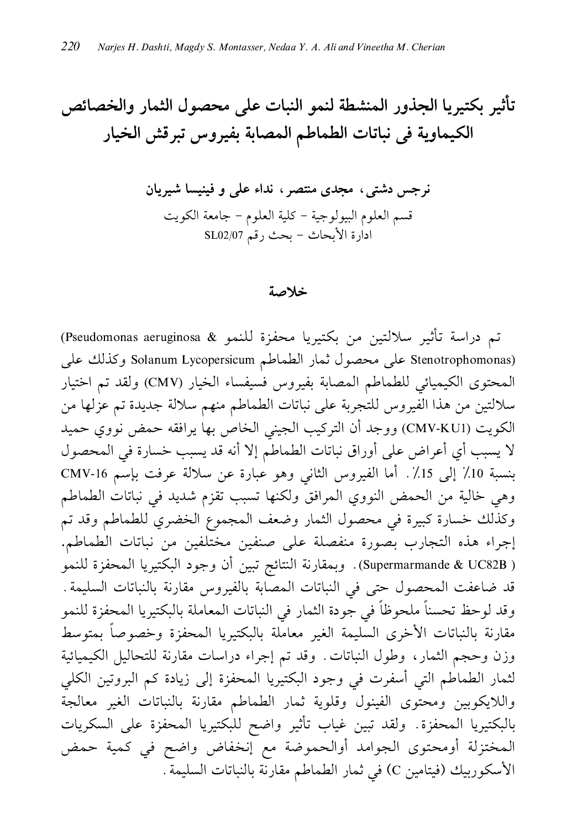تأثير بكتيريا الجذور المنشطة لنمو النبات على محصول الثمار والخصائص الكيماوية في نباتات الطماطم المصابة بفيروس تبرقش الخيار

نرجس دشتی، مجدی منتصر، نداء علی و فینیسا شیریان قسم العلوم البيولوجية - كلية العلوم - جامعة الكويت ادارة الأبحاث - بحث رقم SL02/07

#### خلاصة

تم دراسة تأثير سلالتين من بكتيريا محفزة للنمو & Pseudomonas aeruginosa) (Stenotrophomonas على محصول ثمار الطماطم Solanum Lycopersicum وكذلك على المحتوى الكيميائي للطماطم المصابة بفيروس فسيفساء الخيار (CMV) ولقد تم اختيار سلالتين من هذا الفيروس للتجربة على نباتات الطماطم منهم سلالة جديدة تم عزلها من الكويت (CMV-KUI) ووجد أن التركيب الجيني الخاص بها يرافقه حمض نووي حميد لا يسبب أي أعراض على أوراق نباتات الطماطم إلا أنه قد يسبب خسارة في المحصول بنسبة 10٪ إلى 15٪. أما الفيروس الثاني وهو عبارة عن سلالة عرفت بإسم CMV-16 وهي خالية من الحمض النووي المرافق ولكنها تسبب تقزم شديد في نباتات الطماطم وكذلك خسارة كبيرة في محصول الثمار وضعف المجموع الخضرى للطماطم وقد تم إجراء هذه التجارب بصورة منفصلة على صنفين مختلفين من نباتات الطماطم. ( Supermarmande & UC82B). وبمقارنة النتائج تبين أن وجود البكتيريا المحفزة للنمو قد ضاعفت المحصول حتى في النباتات المصابة بالفيروس مقارنة بالنباتات السليمة. وقد لوحظ تحسناً ملحوظاً في جودة الثمار في النباتات المعاملة بالبكتيريا المحفزة للنمو مقارنة بالنباتات الأخرى السليمة الغير معاملة بالبكتيريا المحفزة وخصوصاً بمتوسط وزن وحجم الثمار، وطول النباتات. وقد تم إجراء دراسات مقارنة للتحاليل الكيميائية لثمار الطماطم التي أسفرت في وجود البكتيريا المحفزة إلى زيادة كم البروتين الكلي واللايكوبين ومحتوى الفينول وقلوية ثمار الطماطم مقارنة بالنباتات الغير معالجة بالبكتيريا المحفزة. ولقد تبين غياب تأثير واضح للبكتيريا المحفزة على السكريات المختزلة أومحتوى الجوامد أوالحموضة مع إنخفاض واضح في كمية حمض الأسكوربيك (فيتامين C) في ثمار الطماطم مقارنة بالنباتات السليمة .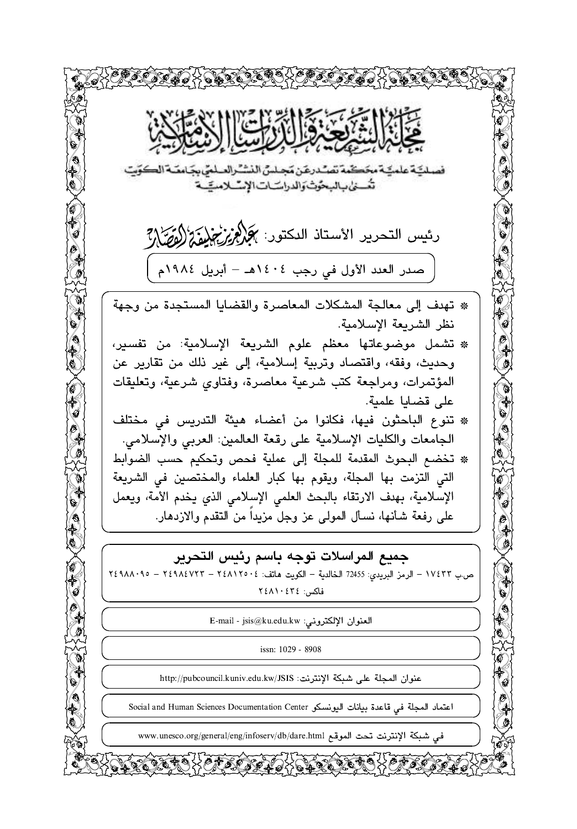فصلكية علمكية مخكمة تصندرغن مجلس النشنرالصلمي بجامعته الكويت تئسنى بالبحوث والدراسات الإسلامية رئيس التحرير الأستاذ الدكتور: كَمُجْلِمُ يُرْتَجْلِمُ وَكُلُمْ الْمُصَلِّلَة صدر العدد الأول في رجب ١٤٠٤هـ – أبريل ١٩٨٤م \* تهدف إلى معالجة المشكلات المعاصرة والقضايا المستجدة من وجهة نظر الشريعة الإسلامية. \* تشمل موضوعاتها معظم علوم الشريعة الإسلامية: من تفسير، وحديث، وفقه، واقتصاد وتربية إسلامية، إلى غير ذلك من تقارير عن المؤتمرات، ومراجعة كتب شرعية معاصرة، وفتاوى شرعية، وتعليقات على قضايا علمية. \* تنوع الباحثون فيها، فكانوا من أعضاء هيئة التدريس في مختلف الجامعات والكليات الإسلامية على رقعة العالمين: العربي والإسلامي. \* تخضع البحوث المقدمة للمجلة إلى عملية فحص وتحكيم حسب الضوابط التي التزمت بها المجلة، ويقوم بها كبار العلماء والمختصين في الشريعة الإسلامية، بهدف الارتقاء بالبحث العلمي الإسلامي الذي يخدم الأمة، ويعمل على رفعة شأنها، نسأل المولى عز وجل مزيداً من التقدم والازدهار. جميع المراسلات توجه باسم رئيس التحرير ص ب ١٧٤٣٣ - الرمز البريدي: 72455 الخالدية - الكويت هاتف: ٢٤٨١٢٥٠٤ - ٢٤٩٨٨٠٩٥ - ٢٤٩٨٨٠٩٥ فاكس: ٢٤٨١٠٤٣٤ العنوان الإلكتروني: E-mail - jsis@ku.edu.kw issn: 1029 - 8908 عنوان المجلة على شبكة الإنترنت: http://pubcouncil.kuniv.edu.kw/JSIS اعتماد المجلة في قاعدة بيانات اليونسكو Social and Human Sciences Documentation Center في شبكة الإنترنت تحت الموقع www.unesco.org/general/eng/infoserv/db/dare.html